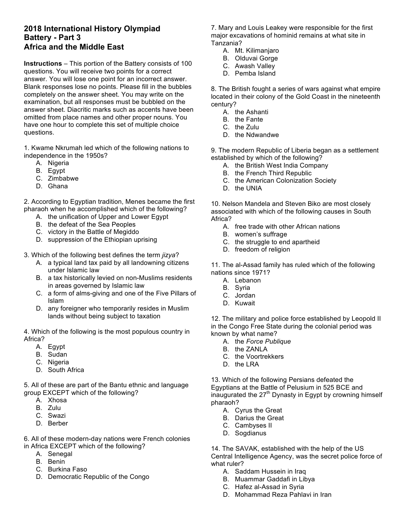## **2018 International History Olympiad Battery - Part 3 Africa and the Middle East**

**Instructions** – This portion of the Battery consists of 100 questions. You will receive two points for a correct answer. You will lose one point for an incorrect answer. Blank responses lose no points. Please fill in the bubbles completely on the answer sheet. You may write on the examination, but all responses must be bubbled on the answer sheet. Diacritic marks such as accents have been omitted from place names and other proper nouns. You have one hour to complete this set of multiple choice questions.

1. Kwame Nkrumah led which of the following nations to independence in the 1950s?

- A. Nigeria
- B. Egypt
- C. Zimbabwe
- D. Ghana

2. According to Egyptian tradition, Menes became the first pharaoh when he accomplished which of the following?

- A. the unification of Upper and Lower Egypt
- B. the defeat of the Sea Peoples
- C. victory in the Battle of Megiddo
- D. suppression of the Ethiopian uprising

3. Which of the following best defines the term *jizya*?

- A. a typical land tax paid by all landowning citizens under Islamic law
- B. a tax historically levied on non-Muslims residents in areas governed by Islamic law
- C. a form of alms-giving and one of the Five Pillars of Islam
- D. any foreigner who temporarily resides in Muslim lands without being subject to taxation

4. Which of the following is the most populous country in Africa?

- A. Egypt
- B. Sudan
- C. Nigeria
- D. South Africa

5. All of these are part of the Bantu ethnic and language group EXCEPT which of the following?

- A. Xhosa
- B. Zulu
- C. Swazi
- D. Berber

6. All of these modern-day nations were French colonies in Africa EXCEPT which of the following?

- A. Senegal
- B. Benin
- C. Burkina Faso
- D. Democratic Republic of the Congo

7. Mary and Louis Leakey were responsible for the first major excavations of hominid remains at what site in Tanzania?

- A. Mt. Kilimanjaro
- B. Olduvai Gorge
- C. Awash Valley
- D. Pemba Island

8. The British fought a series of wars against what empire located in their colony of the Gold Coast in the nineteenth century?

- A. the Ashanti
- B. the Fante
- C. the Zulu
- D. the Ndwandwe

9. The modern Republic of Liberia began as a settlement established by which of the following?

- A. the British West India Company
- B. the French Third Republic
- C. the American Colonization Society
- D. the UNIA

10. Nelson Mandela and Steven Biko are most closely associated with which of the following causes in South Africa?

- A. free trade with other African nations
- B. women's suffrage
- C. the struggle to end apartheid
- D. freedom of religion

11. The al-Assad family has ruled which of the following nations since 1971?

- A. Lebanon
- B. Syria
- C. Jordan
- D. Kuwait

12. The military and police force established by Leopold II in the Congo Free State during the colonial period was known by what name?

- A. the *Force Publique*
- B. the ZANLA
- C. the Voortrekkers
- D. the LRA

13. Which of the following Persians defeated the Egyptians at the Battle of Pelusium in 525 BCE and inaugurated the  $27<sup>th</sup>$  Dynasty in Egypt by crowning himself pharaoh?

- A. Cyrus the Great
- B. Darius the Great
- C. Cambyses II
- D. Sogdianus

14. The SAVAK, established with the help of the US Central Intelligence Agency, was the secret police force of what ruler?

- A. Saddam Hussein in Iraq
- B. Muammar Gaddafi in Libya
- C. Hafez al-Assad in Syria
- D. Mohammad Reza Pahlavi in Iran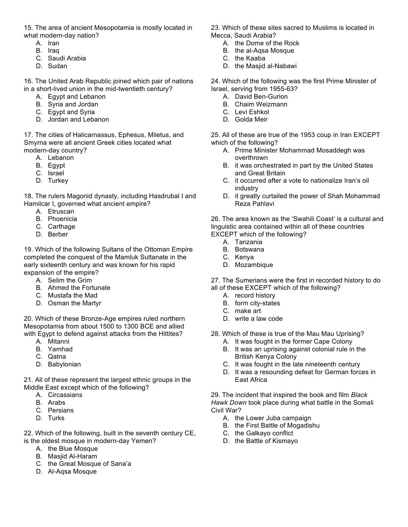15. The area of ancient Mesopotamia is mostly located in what modern-day nation?

- A. Iran
- B. Iraq
- C. Saudi Arabia
- D. Sudan

16. The United Arab Republic joined which pair of nations in a short-lived union in the mid-twentieth century?

- A. Egypt and Lebanon
- B. Syria and Jordan
- C. Egypt and Syria
- D. Jordan and Lebanon

17. The cities of Halicarnassus, Ephesus, Miletus, and Smyrna were all ancient Greek cities located what modern-day country?

- A. Lebanon
- B. Egypt
- C. Israel
- D. Turkey

18. The rulers Magonid dynasty, including Hasdrubal I and Hamilcar I, governed what ancient empire?

- A. Etruscan
- B. Phoenicia
- C. Carthage
- D. Berber

19. Which of the following Sultans of the Ottoman Empire completed the conquest of the Mamluk Sultanate in the early sixteenth century and was known for his rapid expansion of the empire?

- A. Selim the Grim
- B. Ahmed the Fortunate
- C. Mustafa the Mad
- D. Osman the Martyr

20. Which of these Bronze-Age empires ruled northern Mesopotamia from about 1500 to 1300 BCE and allied with Egypt to defend against attacks from the Hittites?

- A. Mitanni
- B. Yamhad
- C. Qatna
- D. Babylonian

21. All of these represent the largest ethnic groups in the Middle East except which of the following?

- A. Circassians
- B. Arabs
- C. Persians
- D. Turks

22. Which of the following, built in the seventh century CE, is the oldest mosque in modern-day Yemen?

- A. the Blue Mosque
- B. Masjid Al-Haram
- C. the Great Mosque of Sana'a
- D. Al-Aqsa Mosque

23. Which of these sites sacred to Muslims is located in Mecca, Saudi Arabia?

- A. the Dome of the Rock
- B. the al-Aqsa Mosque
- C. the Kaaba
- D. the Masjid al-Nabawi

24. Which of the following was the first Prime Minister of Israel, serving from 1955-63?

- A. David Ben-Gurion
- B. Chaim Weizmann
- C. Levi Eshkol
- D. Golda Meir

25. All of these are true of the 1953 coup in Iran EXCEPT which of the following?

- A. Prime Minister Mohammad Mosaddegh was overthrown
- B. it was orchestrated in part by the United States and Great Britain
- C. it occurred after a vote to nationalize Iran's oil industry
- D. it greatly curtailed the power of Shah Mohammad Reza Pahlavi

26. The area known as the 'Swahili Coast' is a cultural and linguistic area contained within all of these countries EXCEPT which of the following?

- A. Tanzania
- B. Botswana
- C. Kenya
- D. Mozambique

27. The Sumerians were the first in recorded history to do all of these EXCEPT which of the following?

- A. record history
- B. form city-states
- C. make art
- D. write a law code

28. Which of these is true of the Mau Mau Uprising?

- A. It was fought in the former Cape Colony
- B. It was an uprising against colonial rule in the British Kenya Colony
- C. It was fought in the late nineteenth century
- D. It was a resounding defeat for German forces in East Africa

29. The incident that inspired the book and film *Black Hawk Down* took place during what battle in the Somali Civil War?

- A. the Lower Juba campaign
- B. the First Battle of Mogadishu
- C. the Galkayo conflict
- D. the Battle of Kismayo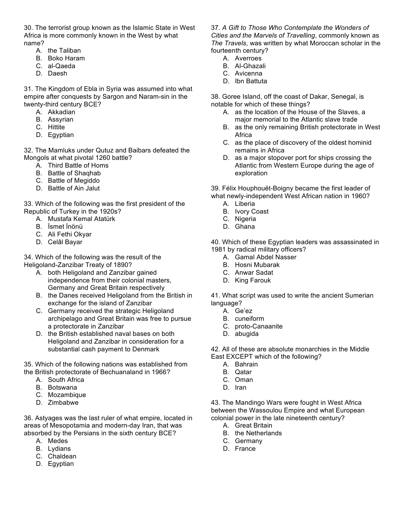30. The terrorist group known as the Islamic State in West Africa is more commonly known in the West by what name?

- A. the Taliban
- B. Boko Haram
- C. al-Qaeda
- D. Daesh

31. The Kingdom of Ebla in Syria was assumed into what empire after conquests by Sargon and Naram-sin in the twenty-third century BCE?

- A. Akkadian
- B. Assyrian
- C. Hittite
- D. Egyptian

32. The Mamluks under Qutuz and Baibars defeated the Mongols at what pivotal 1260 battle?

- A. Third Battle of Homs
- B. Battle of Shaqhab
- C. Battle of Megiddo
- D. Battle of Ain Jalut

33. Which of the following was the first president of the Republic of Turkey in the 1920s?

- A. Mustafa Kemal Atatürk
- B. İsmet İnönü
- C. Ali Fethi Okyar
- D. Celâl Bayar

34. Which of the following was the result of the Heligoland-Zanzibar Treaty of 1890?

- A. both Heligoland and Zanzibar gained independence from their colonial masters, Germany and Great Britain respectively
- B. the Danes received Heligoland from the British in exchange for the island of Zanzibar
- C. Germany received the strategic Heligoland archipelago and Great Britain was free to pursue a protectorate in Zanzibar
- D. the British established naval bases on both Heligoland and Zanzibar in consideration for a substantial cash payment to Denmark

35. Which of the following nations was established from the British protectorate of Bechuanaland in 1966?

- A. South Africa
- B. Botswana
- C. Mozambique
- D. Zimbabwe

36. Astyages was the last ruler of what empire, located in areas of Mesopotamia and modern-day Iran, that was absorbed by the Persians in the sixth century BCE?

- A. Medes
- B. Lydians
- C. Chaldean
- D. Egyptian

37. *A Gift to Those Who Contemplate the Wonders of Cities and the Marvels of Travelling*, commonly known as *The Travels*, was written by what Moroccan scholar in the fourteenth century?

- A. Averroes
- B. Al-Ghazali
- C. Avicenna
- D. Ibn Battuta

38. Goree Island, off the coast of Dakar, Senegal, is notable for which of these things?

- A. as the location of the House of the Slaves, a major memorial to the Atlantic slave trade
- B. as the only remaining British protectorate in West **Africa**
- C. as the place of discovery of the oldest hominid remains in Africa
- D. as a major stopover port for ships crossing the Atlantic from Western Europe during the age of exploration

39. Félix Houphouët-Boigny became the first leader of what newly-independent West African nation in 1960?

- A. Liberia
- B. Ivory Coast
- C. Nigeria
- D. Ghana

40. Which of these Egyptian leaders was assassinated in 1981 by radical military officers?

- A. Gamal Abdel Nasser
- B. Hosni Mubarak
- C. Anwar Sadat
- D. King Farouk

41. What script was used to write the ancient Sumerian language?

- A. Ge'ez
- B. cuneiform
- C. proto-Canaanite
- D. abugida

42. All of these are absolute monarchies in the Middle East EXCEPT which of the following?

- A. Bahrain
- B. Qatar
- C. Oman
- D. Iran

43. The Mandingo Wars were fought in West Africa between the Wassoulou Empire and what European colonial power in the late nineteenth century?

- A. Great Britain
- B. the Netherlands
- C. Germany
- D. France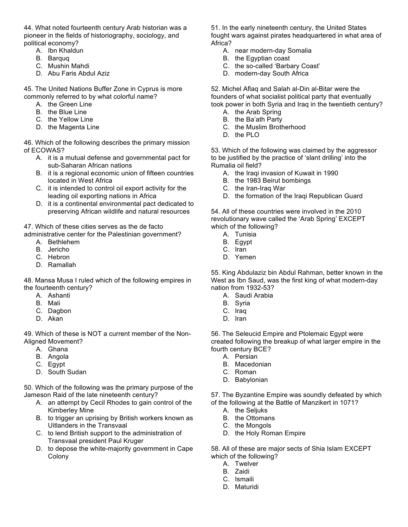44. What noted fourteenth century Arab historian was a pioneer in the fields of historiography, sociology, and political economy?

- A. Ibn Khaldun
- B. Barquq
- C. Mushin Mahdi
- D. Abu Faris Abdul Aziz

45. The United Nations Buffer Zone in Cyprus is more commonly referred to by what colorful name?

- A. the Green Line
- B. the Blue Line
- C. the Yellow Line
- D. the Magenta Line

46. Which of the following describes the primary mission of ECOWAS?

- A. it is a mutual defense and governmental pact for sub-Saharan African nations
- B. it is a regional economic union of fifteen countries located in West Africa
- C. it is intended to control oil export activity for the leading oil exporting nations in Africa
- D. it is a continental environmental pact dedicated to preserving African wildlife and natural resources

47. Which of these cities serves as the de facto administrative center for the Palestinian government?

- A. Bethlehem
- B. Jericho
- C. Hebron
- D. Ramallah

48. Mansa Musa I ruled which of the following empires in the fourteenth century?

- A. Ashanti
- B. Mali
- C. Dagbon
- D. Akan

49. Which of these is NOT a current member of the Non-Aligned Movement?

- A. Ghana
- B. Angola
- C. Egypt
- D. South Sudan

50. Which of the following was the primary purpose of the Jameson Raid of the late nineteenth century?

- A. an attempt by Cecil Rhodes to gain control of the Kimberley Mine
- B. to trigger an uprising by British workers known as Uitlanders in the Transvaal
- C. to lend British support to the administration of Transvaal president Paul Kruger
- D. to depose the white-majority government in Cape Colony

51. In the early nineteenth century, the United States fought wars against pirates headquartered in what area of Africa?

- A. near modern-day Somalia
- B. the Egyptian coast
- C. the so-called 'Barbary Coast'
- D. modern-day South Africa

52. Michel Aflaq and Salah al-Din al-Bitar were the founders of what socialist political party that eventually took power in both Syria and Iraq in the twentieth century?

- A. the Arab Spring
- B. the Ba'ath Party
- C. the Muslim Brotherhood
- D. the PLO

53. Which of the following was claimed by the aggressor to be justified by the practice of 'slant drilling' into the Rumalia oil field?

- A. the Iraqi invasion of Kuwait in 1990
- B. the 1983 Beirut bombings
- C. the Iran-Iraq War
- D. the formation of the Iraqi Republican Guard

54. All of these countries were involved in the 2010 revolutionary wave called the 'Arab Spring' EXCEPT which of the following?

- A. Tunisia
- B. Egypt
- C. Iran
- D. Yemen

55. King Abdulaziz bin Abdul Rahman, better known in the West as Ibn Saud, was the first king of what modern-day nation from 1932-53?

- A. Saudi Arabia
- B. Syria
- C. Iraq
- D. Iran

56. The Seleucid Empire and Ptolemaic Egypt were created following the breakup of what larger empire in the fourth century BCE?

- A. Persian
- B. Macedonian
- C. Roman
- D. Babylonian

57. The Byzantine Empire was soundly defeated by which of the following at the Battle of Manzikert in 1071?

- A. the Seljuks
- B. the Ottomans
- C. the Mongols
- D. the Holy Roman Empire

58. All of these are major sects of Shia Islam EXCEPT which of the following?

- A. Twelver
- B. Zaidi
- C. Ismaili
- D. Maturidi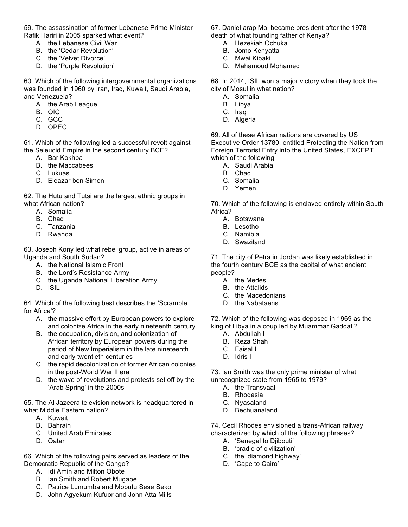59. The assassination of former Lebanese Prime Minister Rafik Hariri in 2005 sparked what event?

- A. the Lebanese Civil War
- B. the 'Cedar Revolution'
- C. the 'Velvet Divorce'
- D. the 'Purple Revolution'

60. Which of the following intergovernmental organizations was founded in 1960 by Iran, Iraq, Kuwait, Saudi Arabia, and Venezuela?

- A. the Arab League
- B. OIC
- C. GCC
- D. OPEC

61. Which of the following led a successful revolt against the Seleucid Empire in the second century BCE?

- A. Bar Kokhba
- B. the Maccabees
- C. Lukuas
- D. Eleazar ben Simon

62. The Hutu and Tutsi are the largest ethnic groups in what African nation?

- A. Somalia
- B. Chad
- C. Tanzania
- D. Rwanda

63. Joseph Kony led what rebel group, active in areas of Uganda and South Sudan?

- A. the National Islamic Front
- B. the Lord's Resistance Army
- C. the Uganda National Liberation Army
- D. ISIL

64. Which of the following best describes the 'Scramble for Africa'?

- A. the massive effort by European powers to explore and colonize Africa in the early nineteenth century
- B. the occupation, division, and colonization of African territory by European powers during the period of New Imperialism in the late nineteenth and early twentieth centuries
- C. the rapid decolonization of former African colonies in the post-World War II era
- D. the wave of revolutions and protests set off by the 'Arab Spring' in the 2000s

65. The Al Jazeera television network is headquartered in what Middle Eastern nation?

- A. Kuwait
- B. Bahrain
- C. United Arab Emirates
- D. Qatar

66. Which of the following pairs served as leaders of the Democratic Republic of the Congo?

- A. Idi Amin and Milton Obote
- B. Ian Smith and Robert Mugabe
- C. Patrice Lumumba and Mobutu Sese Seko
- D. John Agyekum Kufuor and John Atta Mills

67. Daniel arap Moi became president after the 1978 death of what founding father of Kenya?

- A. Hezekiah Ochuka
- B. Jomo Kenyatta
- C. Mwai Kibaki
- D. Mahamoud Mohamed

68. In 2014, ISIL won a major victory when they took the city of Mosul in what nation?

- A. Somalia
- B. Libya
- C. Iraq
- D. Algeria

69. All of these African nations are covered by US Executive Order 13780, entitled Protecting the Nation from Foreign Terrorist Entry into the United States, EXCEPT which of the following

- A. Saudi Arabia
- B. Chad
- C. Somalia
- D. Yemen

70. Which of the following is enclaved entirely within South Africa?

- A. Botswana
- B. Lesotho
- C. Namibia
- D. Swaziland

71. The city of Petra in Jordan was likely established in the fourth century BCE as the capital of what ancient people?

- A. the Medes
- B. the Attalids
- C. the Macedonians
- D. the Nabataens

72. Which of the following was deposed in 1969 as the king of Libya in a coup led by Muammar Gaddafi?

- A. Abdullah I
- B. Reza Shah
- C. Faisal I
- D. Idris I

73. Ian Smith was the only prime minister of what unrecognized state from 1965 to 1979?

- A. the Transvaal
- B. Rhodesia
- C. Nyasaland
- D. Bechuanaland

74. Cecil Rhodes envisioned a trans-African railway characterized by which of the following phrases?

- A. 'Senegal to Djibouti'
- B. 'cradle of civilization'
- C. the 'diamond highway'
- D. 'Cape to Cairo'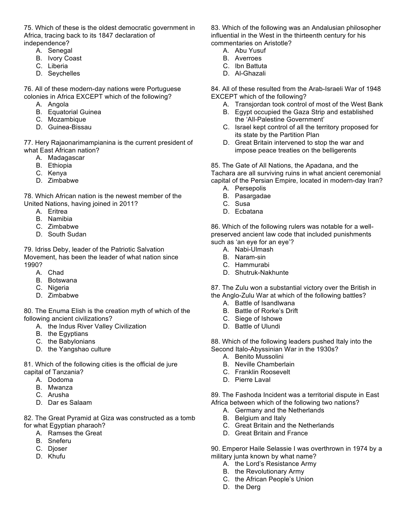75. Which of these is the oldest democratic government in Africa, tracing back to its 1847 declaration of independence?

- A. Senegal
	- B. Ivory Coast
	- C. Liberia
	- D. Seychelles

76. All of these modern-day nations were Portuguese colonies in Africa EXCEPT which of the following?

- A. Angola
- B. Equatorial Guinea
- C. Mozambique
- D. Guinea-Bissau

77. Hery Rajaonarimampianina is the current president of what East African nation?

- A. Madagascar
- B. Ethiopia
- C. Kenya
- D. Zimbabwe

78. Which African nation is the newest member of the United Nations, having joined in 2011?

- A. Eritrea
- B. Namibia
- C. Zimbabwe
- D. South Sudan

79. Idriss Deby, leader of the Patriotic Salvation Movement, has been the leader of what nation since 1990?

- A. Chad
- B. Botswana
- C. Nigeria
- D. Zimbabwe

80. The Enuma Elish is the creation myth of which of the following ancient civilizations?

- A. the Indus River Valley Civilization
- B. the Egyptians
- C. the Babylonians
- D. the Yangshao culture

81. Which of the following cities is the official de jure capital of Tanzania?

- A. Dodoma
- B. Mwanza
- C. Arusha
- D. Dar es Salaam

82. The Great Pyramid at Giza was constructed as a tomb for what Egyptian pharaoh?

- A. Ramses the Great
- B. Sneferu
- C. Djoser
- D. Khufu

83. Which of the following was an Andalusian philosopher influential in the West in the thirteenth century for his commentaries on Aristotle?

- A. Abu Yusuf
- B. Averroes
- C. Ibn Battuta
- D. Al-Ghazali

84. All of these resulted from the Arab-Israeli War of 1948 EXCEPT which of the following?

- A. Transjordan took control of most of the West Bank
- B. Egypt occupied the Gaza Strip and established the 'All-Palestine Government'
- C. Israel kept control of all the territory proposed for its state by the Partition Plan
- D. Great Britain intervened to stop the war and impose peace treaties on the belligerents

85. The Gate of All Nations, the Apadana, and the Tachara are all surviving ruins in what ancient ceremonial capital of the Persian Empire, located in modern-day Iran?

- A. Persepolis
- B. Pasargadae
- C. Susa
- D. Ecbatana

86. Which of the following rulers was notable for a wellpreserved ancient law code that included punishments such as 'an eye for an eye'?

- A. Nabi-Ulmash
- B. Naram-sin
- C. Hammurabi
- D. Shutruk-Nakhunte

87. The Zulu won a substantial victory over the British in the Anglo-Zulu War at which of the following battles?

- A. Battle of Isandlwana
- B. Battle of Rorke's Drift
- C. Siege of Ishowe
- D. Battle of Ulundi

88. Which of the following leaders pushed Italy into the Second Italo-Abyssinian War in the 1930s?

- A. Benito Mussolini
- B. Neville Chamberlain
- C. Franklin Roosevelt
- D. Pierre Laval

89. The Fashoda Incident was a territorial dispute in East Africa between which of the following two nations?

- A. Germany and the Netherlands
- B. Belgium and Italy
- C. Great Britain and the Netherlands
- D. Great Britain and France

90. Emperor Haile Selassie I was overthrown in 1974 by a military junta known by what name?

- A. the Lord's Resistance Army
- B. the Revolutionary Army
- C. the African People's Union
- D. the Derg